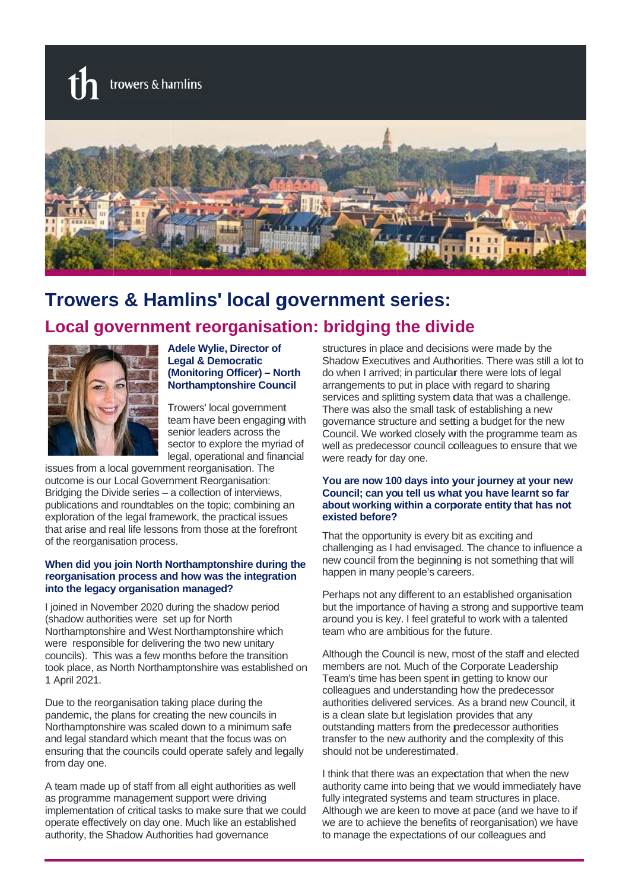

# **Trowers & Hamlins' local government series:**

## Local government reorganisation: bridging the divide



**Adele Wylie, Director of Legal & Democratic** (Monitoring Officer) - North **Northamptonshire Council** 

Trowers' local government team have been engaging with senior leaders across the sector to explore the myriad of legal, operational and financial

issues from a local government reorganisation. The outcome is our Local Government Reorganisation: Bridging the Divide series - a collection of interviews, publications and roundtables on the topic; combining an exploration of the legal framework, the practical issues that arise and real life lessons from those at the forefront of the reorganisation process.

#### When did you join North Northamptonshire during the reorganisation process and how was the integration into the legacy organisation managed?

I joined in November 2020 during the shadow period (shadow authorities were set up for North Northamptonshire and West Northamptonshire which were responsible for delivering the two new unitary councils). This was a few months before the transition took place, as North Northamptonshire was established on 1 April 2021.

Due to the reorganisation taking place during the pandemic, the plans for creating the new councils in Northamptonshire was scaled down to a minimum safe and legal standard which meant that the focus was on ensuring that the councils could operate safely and legally from day one.

A team made up of staff from all eight authorities as well as programme management support were driving implementation of critical tasks to make sure that we could operate effectively on day one. Much like an established authority, the Shadow Authorities had governance

structures in place and decisions were made by the Shadow Executives and Authorities. There was still a lot to do when I arrived; in particular there were lots of legal arrangements to put in place with regard to sharing services and splitting system data that was a challenge. There was also the small task of establishing a new governance structure and setting a budget for the new Council. We worked closely with the programme team as well as predecessor council colleagues to ensure that we were ready for day one.

#### You are now 100 days into your journey at your new Council; can you tell us what you have learnt so far about working within a corporate entity that has not existed before?

That the opportunity is every bit as exciting and challenging as I had envisaged. The chance to influence a new council from the beginning is not something that will happen in many people's careers.

Perhaps not any different to an established organisation but the importance of having a strong and supportive team around you is key. I feel grateful to work with a talented team who are ambitious for the future.

Although the Council is new, most of the staff and elected members are not. Much of the Corporate Leadership Team's time has been spent in getting to know our colleagues and understanding how the predecessor authorities delivered services. As a brand new Council, it is a clean slate but legislation provides that any outstanding matters from the predecessor authorities transfer to the new authority and the complexity of this should not be underestimated.

I think that there was an expectation that when the new authority came into being that we would immediately have fully integrated systems and team structures in place. Although we are keen to move at pace (and we have to if we are to achieve the benefits of reorganisation) we have to manage the expectations of our colleagues and